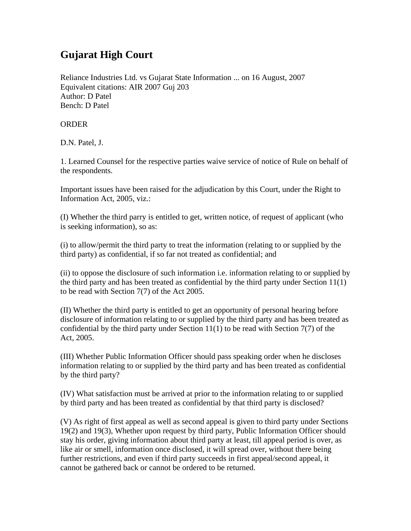# **Gujarat High Court**

Reliance Industries Ltd. vs Gujarat State Information ... on 16 August, 2007 Equivalent citations: AIR 2007 Guj 203 Author: D Patel Bench: D Patel

ORDER

D.N. Patel, J.

1. Learned Counsel for the respective parties waive service of notice of Rule on behalf of the respondents.

Important issues have been raised for the adjudication by this Court, under the Right to Information Act, 2005, viz.:

(I) Whether the third parry is entitled to get, written notice, of request of applicant (who is seeking information), so as:

(i) to allow/permit the third party to treat the information (relating to or supplied by the third party) as confidential, if so far not treated as confidential; and

(ii) to oppose the disclosure of such information i.e. information relating to or supplied by the third party and has been treated as confidential by the third party under Section 11(1) to be read with Section 7(7) of the Act 2005.

(II) Whether the third party is entitled to get an opportunity of personal hearing before disclosure of information relating to or supplied by the third party and has been treated as confidential by the third party under Section 11(1) to be read with Section 7(7) of the Act, 2005.

(III) Whether Public Information Officer should pass speaking order when he discloses information relating to or supplied by the third party and has been treated as confidential by the third party?

(IV) What satisfaction must be arrived at prior to the information relating to or supplied by third party and has been treated as confidential by that third party is disclosed?

(V) As right of first appeal as well as second appeal is given to third party under Sections 19(2) and 19(3), Whether upon request by third party, Public Information Officer should stay his order, giving information about third party at least, till appeal period is over, as like air or smell, information once disclosed, it will spread over, without there being further restrictions, and even if third party succeeds in first appeal/second appeal, it cannot be gathered back or cannot be ordered to be returned.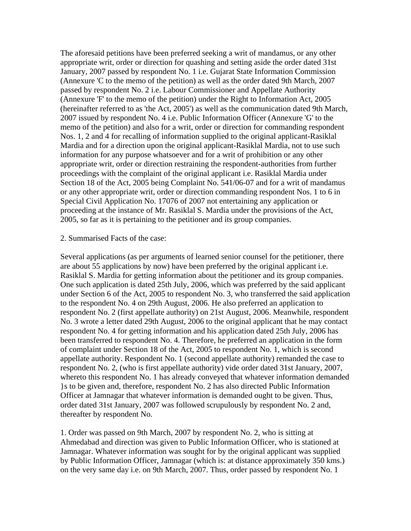The aforesaid petitions have been preferred seeking a writ of mandamus, or any other appropriate writ, order or direction for quashing and setting aside the order dated 31st January, 2007 passed by respondent No. 1 i.e. Gujarat State Information Commission (Annexure 'C to the memo of the petition) as well as the order dated 9th March, 2007 passed by respondent No. 2 i.e. Labour Commissioner and Appellate Authority (Annexure 'F' to the memo of the petition) under the Right to Information Act, 2005 (hereinafter referred to as 'the Act, 2005') as well as the communication dated 9th March, 2007 issued by respondent No. 4 i.e. Public Information Officer (Annexure 'G' to the memo of the petition) and also for a writ, order or direction for commanding respondent Nos. 1, 2 and 4 for recalling of information supplied to the original applicant-Rasiklal Mardia and for a direction upon the original applicant-Rasiklal Mardia, not to use such information for any purpose whatsoever and for a writ of prohibition or any other appropriate writ, order or direction restraining the respondent-authorities from further proceedings with the complaint of the original applicant i.e. Rasiklal Mardia under Section 18 of the Act, 2005 being Complaint No. 541/06-07 and for a writ of mandamus or any other appropriate writ, order or direction commanding respondent Nos. 1 to 6 in Special Civil Application No. 17076 of 2007 not entertaining any application or proceeding at the instance of Mr. Rasiklal S. Mardia under the provisions of the Act, 2005, so far as it is pertaining to the petitioner and its group companies.

#### 2. Summarised Facts of the case:

Several applications (as per arguments of learned senior counsel for the petitioner, there are about 55 applications by now) have been preferred by the original applicant i.e. Rasiklal S. Mardia for getting information about the petitioner and its group companies. One such application is dated 25th July, 2006, which was preferred by the said applicant under Section 6 of the Act, 2005 to respondent No. 3, who transferred the said application to the respondent No. 4 on 29th August, 2006. He also preferred an application to respondent No. 2 (first appellate authority) on 21st August, 2006. Meanwhile, respondent No. 3 wrote a letter dated 29th August, 2006 to the original applicant that he may contact respondent No. 4 for getting information and his application dated 25th July, 2006 has been transferred to respondent No. 4. Therefore, he preferred an application in the form of complaint under Section 18 of the Act, 2005 to respondent No. 1, which is second appellate authority. Respondent No. 1 (second appellate authority) remanded the case to respondent No. 2, (who is first appellate authority) vide order dated 31st January, 2007, whereto this respondent No. 1 has already conveyed that whatever information demanded }s to be given and, therefore, respondent No. 2 has also directed Public Information Officer at Jamnagar that whatever information is demanded ought to be given. Thus, order dated 31st January, 2007 was followed scrupulously by respondent No. 2 and, thereafter by respondent No.

1. Order was passed on 9th March, 2007 by respondent No. 2, who is sitting at Ahmedabad and direction was given to Public Information Officer, who is stationed at Jamnagar. Whatever information was sought for by the original applicant was supplied by Public Information Officer, Jamnagar (which is: at distance approximately 350 kms.) on the very same day i.e. on 9th March, 2007. Thus, order passed by respondent No. 1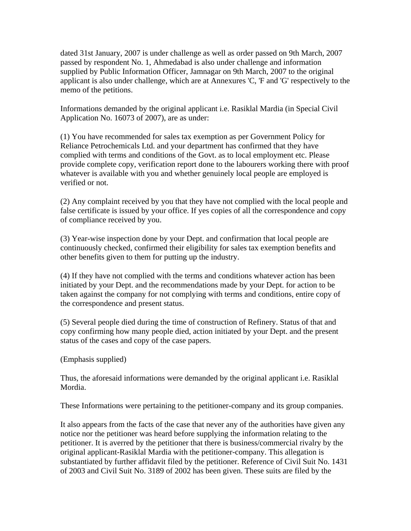dated 31st January, 2007 is under challenge as well as order passed on 9th March, 2007 passed by respondent No. 1, Ahmedabad is also under challenge and information supplied by Public Information Officer, Jamnagar on 9th March, 2007 to the original applicant is also under challenge, which are at Annexures 'C, 'F and 'G' respectively to the memo of the petitions.

Informations demanded by the original applicant i.e. Rasiklal Mardia (in Special Civil Application No. 16073 of 2007), are as under:

(1) You have recommended for sales tax exemption as per Government Policy for Reliance Petrochemicals Ltd. and your department has confirmed that they have complied with terms and conditions of the Govt. as to local employment etc. Please provide complete copy, verification report done to the labourers working there with proof whatever is available with you and whether genuinely local people are employed is verified or not.

(2) Any complaint received by you that they have not complied with the local people and false certificate is issued by your office. If yes copies of all the correspondence and copy of compliance received by you.

(3) Year-wise inspection done by your Dept. and confirmation that local people are continuously checked, confirmed their eligibility for sales tax exemption benefits and other benefits given to them for putting up the industry.

(4) If they have not complied with the terms and conditions whatever action has been initiated by your Dept. and the recommendations made by your Dept. for action to be taken against the company for not complying with terms and conditions, entire copy of the correspondence and present status.

(5) Several people died during the time of construction of Refinery. Status of that and copy confirming how many people died, action initiated by your Dept. and the present status of the cases and copy of the case papers.

(Emphasis supplied)

Thus, the aforesaid informations were demanded by the original applicant i.e. Rasiklal Mordia.

These Informations were pertaining to the petitioner-company and its group companies.

It also appears from the facts of the case that never any of the authorities have given any notice nor the petitioner was heard before supplying the information relating to the petitioner. It is averred by the petitioner that there is business/commercial rivalry by the original applicant-Rasiklal Mardia with the petitioner-company. This allegation is substantiated by further affidavit filed by the petitioner. Reference of Civil Suit No. 1431 of 2003 and Civil Suit No. 3189 of 2002 has been given. These suits are filed by the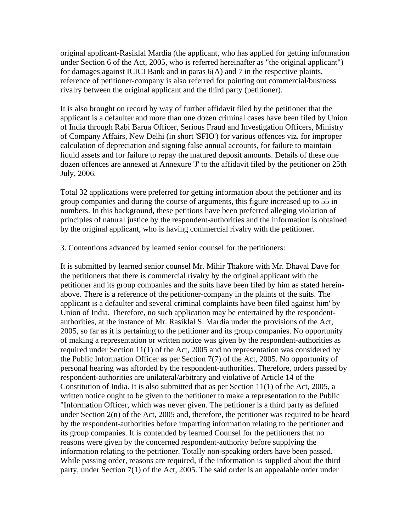original applicant-Rasiklal Mardia (the applicant, who has applied for getting information under Section 6 of the Act, 2005, who is referred hereinafter as "the original applicant") for damages against ICICI Bank and in paras 6(A) and 7 in the respective plaints, reference of petitioner-company is also referred for pointing out commercial/business rivalry between the original applicant and the third party (petitioner).

It is also brought on record by way of further affidavit filed by the petitioner that the applicant is a defaulter and more than one dozen criminal cases have been filed by Union of India through Rabi Barua Officer, Serious Fraud and Investigation Officers, Ministry of Company Affairs, New Delhi (in short 'SFIO') for various offences viz. for improper calculation of depreciation and signing false annual accounts, for failure to maintain liquid assets and for failure to repay the matured deposit amounts. Details of these one dozen offences are annexed at Annexure 'J' to the affidavit filed by the petitioner on 25th July, 2006.

Total 32 applications were preferred for getting information about the petitioner and its group companies and during the course of arguments, this figure increased up to 55 in numbers. In this background, these petitions have been preferred alleging violation of principles of natural justice by the respondent-authorities and the information is obtained by the original applicant, who is having commercial rivalry with the petitioner.

3. Contentions advanced by learned senior counsel for the petitioners:

It is submitted by learned senior counsel Mr. Mihir Thakore with Mr. Dhaval Dave for the petitioners that there is commercial rivalry by the original applicant with the petitioner and its group companies and the suits have been filed by him as stated hereinabove. There is a reference of the petitioner-company in the plaints of the suits. The applicant is a defaulter and several criminal complaints have been filed against him' by Union of India. Therefore, no such application may be entertained by the respondentauthorities, at the instance of Mr. Rasiklal S. Mardia under the provisions of the Act, 2005, so far as it is pertaining to the petitioner and its group companies. No opportunity of making a representation or written notice was given by the respondent-authorities as required under Section 11(1) of the Act, 2005 and no representation was considered by the Public Information Officer as per Section 7(7) of the Act, 2005. No opportunity of personal hearing was afforded by the respondent-authorities. Therefore, orders passed by respondent-authorities are unilateral/arbitrary and violative of Article 14 of the Constitution of India. It is also submitted that as per Section 11(1) of the Act, 2005, a written notice ought to be given to the petitioner to make a representation to the Public "Information Officer, which was never given. The petitioner is a third party as defined under Section 2(n) of the Act, 2005 and, therefore, the petitioner was required to be heard by the respondent-authorities before imparting information relating to the petitioner and its group companies. It is contended by learned Counsel for the petitioners that no reasons were given by the concerned respondent-authority before supplying the information relating to the petitioner. Totally non-speaking orders have been passed. While passing order, reasons are required, if the information is supplied about the third party, under Section 7(1) of the Act, 2005. The said order is an appealable order under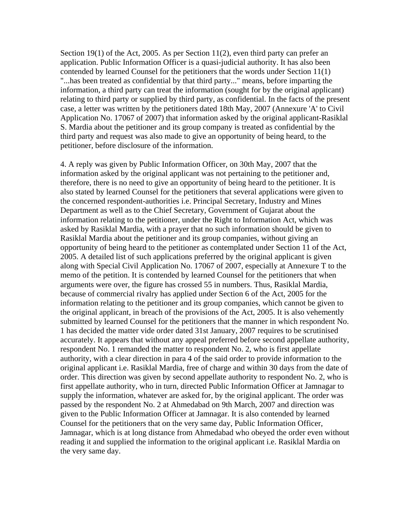Section 19(1) of the Act, 2005. As per Section 11(2), even third party can prefer an application. Public Information Officer is a quasi-judicial authority. It has also been contended by learned Counsel for the petitioners that the words under Section 11(1) "...has been treated as confidential by that third party..." means, before imparting the information, a third party can treat the information (sought for by the original applicant) relating to third party or supplied by third party, as confidential. In the facts of the present case, a letter was written by the petitioners dated 18th May, 2007 (Annexure 'A' to Civil Application No. 17067 of 2007) that information asked by the original applicant-Rasiklal S. Mardia about the petitioner and its group company is treated as confidential by the third party and request was also made to give an opportunity of being heard, to the petitioner, before disclosure of the information.

4. A reply was given by Public Information Officer, on 30th May, 2007 that the information asked by the original applicant was not pertaining to the petitioner and, therefore, there is no need to give an opportunity of being heard to the petitioner. It is also stated by learned Counsel for the petitioners that several applications were given to the concerned respondent-authorities i.e. Principal Secretary, Industry and Mines Department as well as to the Chief Secretary, Government of Gujarat about the information relating to the petitioner, under the Right to Information Act, which was asked by Rasiklal Mardia, with a prayer that no such information should be given to Rasiklal Mardia about the petitioner and its group companies, without giving an opportunity of being heard to the petitioner as contemplated under Section 11 of the Act, 2005. A detailed list of such applications preferred by the original applicant is given along with Special Civil Application No. 17067 of 2007, especially at Annexure T to the memo of the petition. It is contended by learned Counsel for the petitioners that when arguments were over, the figure has crossed 55 in numbers. Thus, Rasiklal Mardia, because of commercial rivalry has applied under Section 6 of the Act, 2005 for the information relating to the petitioner and its group companies, which cannot be given to the original applicant, in breach of the provisions of the Act, 2005. It is also vehemently submitted by learned Counsel for the petitioners that the manner in which respondent No. 1 has decided the matter vide order dated 31st January, 2007 requires to be scrutinised accurately. It appears that without any appeal preferred before second appellate authority, respondent No. 1 remanded the matter to respondent No. 2, who is first appellate authority, with a clear direction in para 4 of the said order to provide information to the original applicant i.e. Rasiklal Mardia, free of charge and within 30 days from the date of order. This direction was given by second appellate authority to respondent No. 2, who is first appellate authority, who in turn, directed Public Information Officer at Jamnagar to supply the information, whatever are asked for, by the original applicant. The order was passed by the respondent No. 2 at Ahmedabad on 9th March, 2007 and direction was given to the Public Information Officer at Jamnagar. It is also contended by learned Counsel for the petitioners that on the very same day, Public Information Officer, Jamnagar, which is at long distance from Ahmedabad who obeyed the order even without reading it and supplied the information to the original applicant i.e. Rasiklal Mardia on the very same day.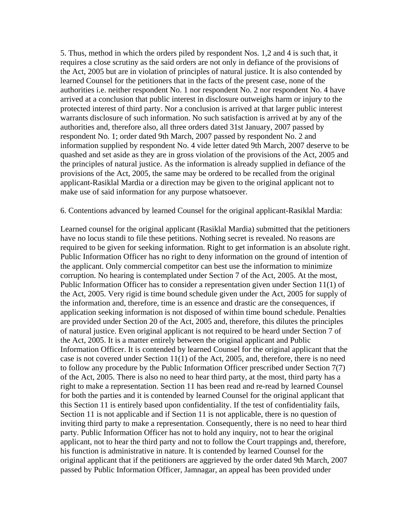5. Thus, method in which the orders piled by respondent Nos. 1,2 and 4 is such that, it requires a close scrutiny as the said orders are not only in defiance of the provisions of the Act, 2005 but are in violation of principles of natural justice. It is also contended by learned Counsel for the petitioners that in the facts of the present case, none of the authorities i.e. neither respondent No. 1 nor respondent No. 2 nor respondent No. 4 have arrived at a conclusion that public interest in disclosure outweighs harm or injury to the protected interest of third party. Nor a conclusion is arrived at that larger public interest warrants disclosure of such information. No such satisfaction is arrived at by any of the authorities and, therefore also, all three orders dated 31st January, 2007 passed by respondent No. 1; order dated 9th March, 2007 passed by respondent No. 2 and information supplied by respondent No. 4 vide letter dated 9th March, 2007 deserve to be quashed and set aside as they are in gross violation of the provisions of the Act, 2005 and the principles of natural justice. As the information is already supplied in defiance of the provisions of the Act, 2005, the same may be ordered to be recalled from the original applicant-Rasiklal Mardia or a direction may be given to the original applicant not to make use of said information for any purpose whatsoever.

#### 6. Contentions advanced by learned Counsel for the original applicant-Rasiklal Mardia:

Learned counsel for the original applicant (Rasiklal Mardia) submitted that the petitioners have no locus standi to file these petitions. Nothing secret is revealed. No reasons are required to be given for seeking information. Right to get information is an absolute right. Public Information Officer has no right to deny information on the ground of intention of the applicant. Only commercial competitor can best use the information to minimize corruption. No hearing is contemplated under Section 7 of the Act, 2005. At the most, Public Information Officer has to consider a representation given under Section 11(1) of the Act, 2005. Very rigid is time bound schedule given under the Act, 2005 for supply of the information and, therefore, time is an essence and drastic are the consequences, if application seeking information is not disposed of within time bound schedule. Penalties are provided under Section 20 of the Act, 2005 and, therefore, this dilutes the principles of natural justice. Even original applicant is not required to be heard under Section 7 of the Act, 2005. It is a matter entirely between the original applicant and Public Information Officer. It is contended by learned Counsel for the original applicant that the case is not covered under Section 11(1) of the Act, 2005, and, therefore, there is no need to follow any procedure by the Public Information Officer prescribed under Section 7(7) of the Act, 2005. There is also no need to hear third party, at the most, third party has a right to make a representation. Section 11 has been read and re-read by learned Counsel for both the parties and it is contended by learned Counsel for the original applicant that this Section 11 is entirely based upon confidentiality. If the test of confidentiality fails, Section 11 is not applicable and if Section 11 is not applicable, there is no question of inviting third party to make a representation. Consequently, there is no need to hear third party. Public Information Officer has not to hold any inquiry, not to hear the original applicant, not to hear the third party and not to follow the Court trappings and, therefore, his function is administrative in nature. It is contended by learned Counsel for the original applicant that if the petitioners are aggrieved by the order dated 9th March, 2007 passed by Public Information Officer, Jamnagar, an appeal has been provided under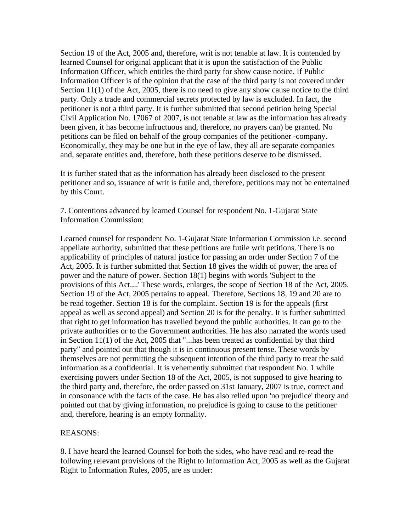Section 19 of the Act, 2005 and, therefore, writ is not tenable at law. It is contended by learned Counsel for original applicant that it is upon the satisfaction of the Public Information Officer, which entitles the third party for show cause notice. If Public Information Officer is of the opinion that the case of the third party is not covered under Section 11(1) of the Act, 2005, there is no need to give any show cause notice to the third party. Only a trade and commercial secrets protected by law is excluded. In fact, the petitioner is not a third party. It is further submitted that second petition being Special Civil Application No. 17067 of 2007, is not tenable at law as the information has already been given, it has become infructuous and, therefore, no prayers can) be granted. No petitions can be filed on behalf of the group companies of the petitioner -company. Economically, they may be one but in the eye of law, they all are separate companies and, separate entities and, therefore, both these petitions deserve to be dismissed.

It is further stated that as the information has already been disclosed to the present petitioner and so, issuance of writ is futile and, therefore, petitions may not be entertained by this Court.

7. Contentions advanced by learned Counsel for respondent No. 1-Gujarat State Information Commission:

Learned counsel for respondent No. 1-Gujarat State Information Commission i.e. second appellate authority, submitted that these petitions are futile writ petitions. There is no applicability of principles of natural justice for passing an order under Section 7 of the Act, 2005. It is further submitted that Section 18 gives the width of power, the area of power and the nature of power. Section 18(1) begins with words 'Subject to the provisions of this Act....' These words, enlarges, the scope of Section 18 of the Act, 2005. Section 19 of the Act, 2005 pertains to appeal. Therefore, Sections 18, 19 and 20 are to be read together. Section 18 is for the complaint. Section 19 is for the appeals (first appeal as well as second appeal) and Section 20 is for the penalty. It is further submitted that right to get information has travelled beyond the public authorities. It can go to the private authorities or to the Government authorities. He has also narrated the words used in Section 11(1) of the Act, 2005 that "...has been treated as confidential by that third party" and pointed out that though it is in continuous present tense. These words by themselves are not permitting the subsequent intention of the third party to treat the said information as a confidential. It is vehemently submitted that respondent No. 1 while exercising powers under Section 18 of the Act, 2005, is not supposed to give hearing to the third party and, therefore, the order passed on 31st January, 2007 is true, correct and in consonance with the facts of the case. He has also relied upon 'no prejudice' theory and pointed out that by giving information, no prejudice is going to cause to the petitioner and, therefore, hearing is an empty formality.

## REASONS:

8. I have heard the learned Counsel for both the sides, who have read and re-read the following relevant provisions of the Right to Information Act, 2005 as well as the Gujarat Right to Information Rules, 2005, are as under: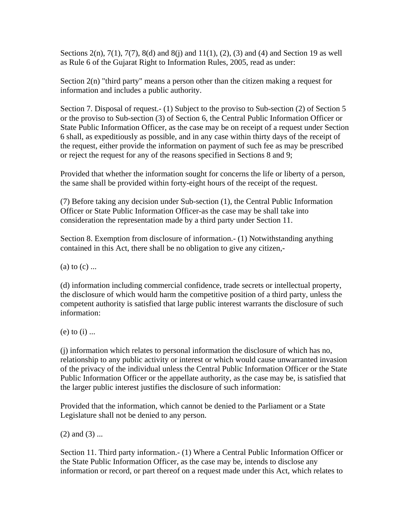Sections 2(n), 7(1), 7(7), 8(d) and 8(j) and 11(1), (2), (3) and (4) and Section 19 as well as Rule 6 of the Gujarat Right to Information Rules, 2005, read as under:

Section 2(n) "third party" means a person other than the citizen making a request for information and includes a public authority.

Section 7. Disposal of request.- (1) Subject to the proviso to Sub-section (2) of Section 5 or the proviso to Sub-section (3) of Section 6, the Central Public Information Officer or State Public Information Officer, as the case may be on receipt of a request under Section 6 shall, as expeditiously as possible, and in any case within thirty days of the receipt of the request, either provide the information on payment of such fee as may be prescribed or reject the request for any of the reasons specified in Sections 8 and 9;

Provided that whether the information sought for concerns the life or liberty of a person, the same shall be provided within forty-eight hours of the receipt of the request.

(7) Before taking any decision under Sub-section (1), the Central Public Information Officer or State Public Information Officer-as the case may be shall take into consideration the representation made by a third party under Section 11.

Section 8. Exemption from disclosure of information.- (1) Notwithstanding anything contained in this Act, there shall be no obligation to give any citizen,-

(a) to  $(c)$  ...

(d) information including commercial confidence, trade secrets or intellectual property, the disclosure of which would harm the competitive position of a third party, unless the competent authority is satisfied that large public interest warrants the disclosure of such information:

(e) to (i) ...

(j) information which relates to personal information the disclosure of which has no, relationship to any public activity or interest or which would cause unwarranted invasion of the privacy of the individual unless the Central Public Information Officer or the State Public Information Officer or the appellate authority, as the case may be, is satisfied that the larger public interest justifies the disclosure of such information:

Provided that the information, which cannot be denied to the Parliament or a State Legislature shall not be denied to any person.

(2) and (3) ...

Section 11. Third party information. (1) Where a Central Public Information Officer or the State Public Information Officer, as the case may be, intends to disclose any information or record, or part thereof on a request made under this Act, which relates to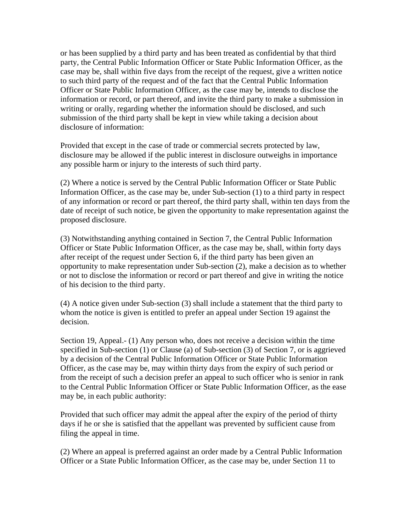or has been supplied by a third party and has been treated as confidential by that third party, the Central Public Information Officer or State Public Information Officer, as the case may be, shall within five days from the receipt of the request, give a written notice to such third party of the request and of the fact that the Central Public Information Officer or State Public Information Officer, as the case may be, intends to disclose the information or record, or part thereof, and invite the third party to make a submission in writing or orally, regarding whether the information should be disclosed, and such submission of the third party shall be kept in view while taking a decision about disclosure of information:

Provided that except in the case of trade or commercial secrets protected by law, disclosure may be allowed if the public interest in disclosure outweighs in importance any possible harm or injury to the interests of such third party.

(2) Where a notice is served by the Central Public Information Officer or State Public Information Officer, as the case may be, under Sub-section (1) to a third party in respect of any information or record or part thereof, the third party shall, within ten days from the date of receipt of such notice, be given the opportunity to make representation against the proposed disclosure.

(3) Notwithstanding anything contained in Section 7, the Central Public Information Officer or State Public Information Officer, as the case may be, shall, within forty days after receipt of the request under Section 6, if the third party has been given an opportunity to make representation under Sub-section (2), make a decision as to whether or not to disclose the information or record or part thereof and give in writing the notice of his decision to the third party.

(4) A notice given under Sub-section (3) shall include a statement that the third party to whom the notice is given is entitled to prefer an appeal under Section 19 against the decision.

Section 19, Appeal.- (1) Any person who, does not receive a decision within the time specified in Sub-section (1) or Clause (a) of Sub-section (3) of Section 7, or is aggrieved by a decision of the Central Public Information Officer or State Public Information Officer, as the case may be, may within thirty days from the expiry of such period or from the receipt of such a decision prefer an appeal to such officer who is senior in rank to the Central Public Information Officer or State Public Information Officer, as the ease may be, in each public authority:

Provided that such officer may admit the appeal after the expiry of the period of thirty days if he or she is satisfied that the appellant was prevented by sufficient cause from filing the appeal in time.

(2) Where an appeal is preferred against an order made by a Central Public Information Officer or a State Public Information Officer, as the case may be, under Section 11 to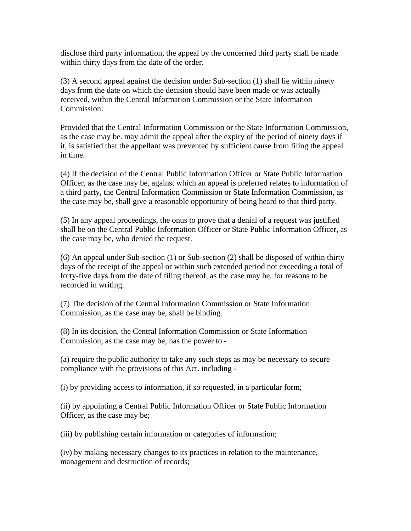disclose third party information, the appeal by the concerned third party shall be made within thirty days from the date of the order.

(3) A second appeal against the decision under Sub-section (1) shall lie within ninety days from the date on which the decision should have been made or was actually received, within the Central Information Commission or the State Information Commission:

Provided that the Central Information Commission or the State Information Commission, as the case may be. may admit the appeal after the expiry of the period of ninety days if it, is satisfied that the appellant was prevented by sufficient cause from filing the appeal in time.

(4) If the decision of the Central Public Information Officer or State Public Information Officer, as the case may be, against which an appeal is preferred relates to information of a third party, the Central Information Commission or State Information Commission, as the case may be, shall give a reasonable opportunity of being heard to that third party.

(5) In any appeal proceedings, the onus to prove that a denial of a request was justified shall be on the Central Public Information Officer or State Public Information Officer, as the case may be, who denied the request.

(6) An appeal under Sub-section (1) or Sub-section (2) shall be disposed of within thirty days of the receipt of the appeal or within such extended period not exceeding a total of forty-five days from the date of filing thereof, as the case may be, for reasons to be recorded in writing.

(7) The decision of the Central Information Commission or State Information Commission, as the case may be, shall be binding.

(8) In its decision, the Central Information Commission or State Information Commission, as the case may be, has the power to -

(a) require the public authority to take any such steps as may be necessary to secure compliance with the provisions of this Act. including -

(i) by providing access to information, if so requested, in a particular form;

(ii) by appointing a Central Public Information Officer or State Public Information Officer, as the case may be;

(iii) by publishing certain information or categories of information;

(iv) by making necessary changes to its practices in relation to the maintenance, management and destruction of records;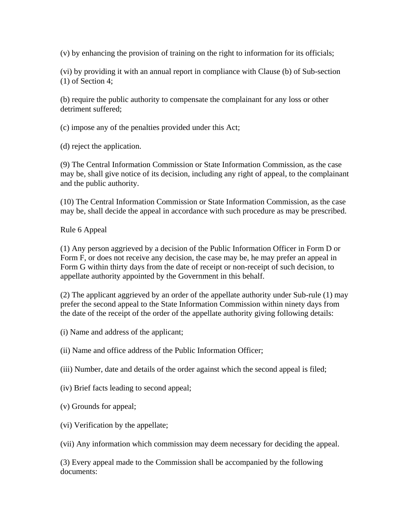(v) by enhancing the provision of training on the right to information for its officials;

(vi) by providing it with an annual report in compliance with Clause (b) of Sub-section (1) of Section 4;

(b) require the public authority to compensate the complainant for any loss or other detriment suffered;

(c) impose any of the penalties provided under this Act;

(d) reject the application.

(9) The Central Information Commission or State Information Commission, as the case may be, shall give notice of its decision, including any right of appeal, to the complainant and the public authority.

(10) The Central Information Commission or State Information Commission, as the case may be, shall decide the appeal in accordance with such procedure as may be prescribed.

Rule 6 Appeal

(1) Any person aggrieved by a decision of the Public Information Officer in Form D or Form F, or does not receive any decision, the case may be, he may prefer an appeal in Form G within thirty days from the date of receipt or non-receipt of such decision, to appellate authority appointed by the Government in this behalf.

(2) The applicant aggrieved by an order of the appellate authority under Sub-rule (1) may prefer the second appeal to the State Information Commission within ninety days from the date of the receipt of the order of the appellate authority giving following details:

- (i) Name and address of the applicant;
- (ii) Name and office address of the Public Information Officer;

(iii) Number, date and details of the order against which the second appeal is filed;

- (iv) Brief facts leading to second appeal;
- (v) Grounds for appeal;
- (vi) Verification by the appellate;

(vii) Any information which commission may deem necessary for deciding the appeal.

(3) Every appeal made to the Commission shall be accompanied by the following documents: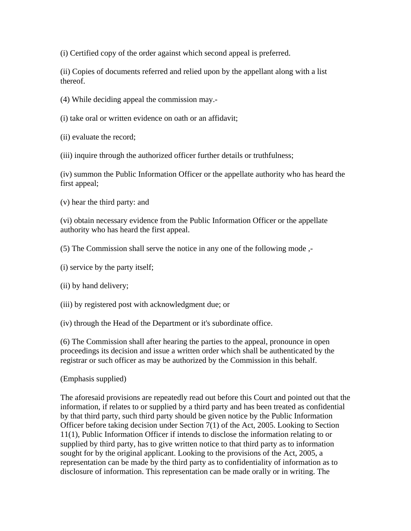(i) Certified copy of the order against which second appeal is preferred.

(ii) Copies of documents referred and relied upon by the appellant along with a list thereof.

(4) While deciding appeal the commission may.-

(i) take oral or written evidence on oath or an affidavit;

(ii) evaluate the record;

(iii) inquire through the authorized officer further details or truthfulness;

(iv) summon the Public Information Officer or the appellate authority who has heard the first appeal;

(v) hear the third party: and

(vi) obtain necessary evidence from the Public Information Officer or the appellate authority who has heard the first appeal.

(5) The Commission shall serve the notice in any one of the following mode ,-

(i) service by the party itself;

(ii) by hand delivery;

(iii) by registered post with acknowledgment due; or

(iv) through the Head of the Department or it's subordinate office.

(6) The Commission shall after hearing the parties to the appeal, pronounce in open proceedings its decision and issue a written order which shall be authenticated by the registrar or such officer as may be authorized by the Commission in this behalf.

(Emphasis supplied)

The aforesaid provisions are repeatedly read out before this Court and pointed out that the information, if relates to or supplied by a third party and has been treated as confidential by that third party, such third party should be given notice by the Public Information Officer before taking decision under Section 7(1) of the Act, 2005. Looking to Section 11(1), Public Information Officer if intends to disclose the information relating to or supplied by third party, has to give written notice to that third party as to information sought for by the original applicant. Looking to the provisions of the Act, 2005, a representation can be made by the third party as to confidentiality of information as to disclosure of information. This representation can be made orally or in writing. The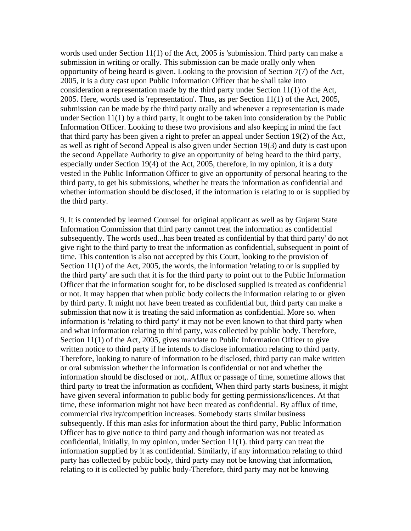words used under Section 11(1) of the Act, 2005 is 'submission. Third party can make a submission in writing or orally. This submission can be made orally only when opportunity of being heard is given. Looking to the provision of Section 7(7) of the Act, 2005, it is a duty cast upon Public Information Officer that he shall take into consideration a representation made by the third party under Section 11(1) of the Act, 2005. Here, words used is 'representation'. Thus, as per Section 11(1) of the Act, 2005, submission can be made by the third party orally and whenever a representation is made under Section 11(1) by a third party, it ought to be taken into consideration by the Public Information Officer. Looking to these two provisions and also keeping in mind the fact that third party has been given a right to prefer an appeal under Section 19(2) of the Act, as well as right of Second Appeal is also given under Section 19(3) and duty is cast upon the second Appellate Authority to give an opportunity of being heard to the third party, especially under Section 19(4) of the Act, 2005, therefore, in my opinion, it is a duty vested in the Public Information Officer to give an opportunity of personal hearing to the third party, to get his submissions, whether he treats the information as confidential and whether information should be disclosed, if the information is relating to or is supplied by the third party.

9. It is contended by learned Counsel for original applicant as well as by Gujarat State Information Commission that third party cannot treat the information as confidential subsequently. The words used...has been treated as confidential by that third party' do not give right to the third party to treat the information as confidential, subsequent in point of time. This contention is also not accepted by this Court, looking to the provision of Section 11(1) of the Act, 2005, the words, the information 'relating to or is supplied by the third party' are such that it is for the third party to point out to the Public Information Officer that the information sought for, to be disclosed supplied is treated as confidential or not. It may happen that when public body collects the information relating to or given by third party. It might not have been treated as confidential but, third party can make a submission that now it is treating the said information as confidential. More so. when information is 'relating to third party' it may not be even known to that third party when and what information relating to third party, was collected by public body. Therefore, Section 11(1) of the Act, 2005, gives mandate to Public Information Officer to give written notice to third party if he intends to disclose information relating to third party. Therefore, looking to nature of information to be disclosed, third party can make written or oral submission whether the information is confidential or not and whether the information should be disclosed or not,. Afflux or passage of time, sometime allows that third party to treat the information as confident, When third party starts business, it might have given several information to public body for getting permissions/licences. At that time, these information might not have been treated as confidential. By afflux of time, commercial rivalry/competition increases. Somebody starts similar business subsequently. If this man asks for information about the third party, Public Information Officer has to give notice to third party and though information was not treated as confidential, initially, in my opinion, under Section 11(1). third party can treat the information supplied by it as confidential. Similarly, if any information relating to third party has collected by public body, third party may not be knowing that information, relating to it is collected by public body-Therefore, third party may not be knowing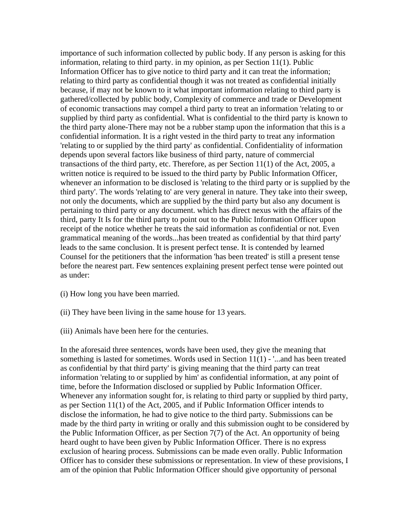importance of such information collected by public body. If any person is asking for this information, relating to third party. in my opinion, as per Section 11(1). Public Information Officer has to give notice to third party and it can treat the information; relating to third party as confidential though it was not treated as confidential initially because, if may not be known to it what important information relating to third party is gathered/collected by public body, Complexity of commerce and trade or Development of economic transactions may compel a third party to treat an information 'relating to or supplied by third party as confidential. What is confidential to the third party is known to the third party alone-There may not be a rubber stamp upon the information that this is a confidential information. It is a right vested in the third party to treat any information 'relating to or supplied by the third party' as confidential. Confidentiality of information depends upon several factors like business of third party, nature of commercial transactions of the third party, etc. Therefore, as per Section 11(1) of the Act, 2005, a written notice is required to be issued to the third party by Public Information Officer, whenever an information to be disclosed is 'relating to the third party or is supplied by the third party'. The words 'relating to' are very general in nature. They take into their sweep, not only the documents, which are supplied by the third party but also any document is pertaining to third party or any document. which has direct nexus with the affairs of the third, party It Is for the third party to point out to the Public Information Officer upon receipt of the notice whether he treats the said information as confidential or not. Even grammatical meaning of the words...has been treated as confidential by that third party' leads to the same conclusion. It is present perfect tense. It is contended by learned Counsel for the petitioners that the information 'has been treated' is still a present tense before the nearest part. Few sentences explaining present perfect tense were pointed out as under:

- (i) How long you have been married.
- (ii) They have been living in the same house for 13 years.
- (iii) Animals have been here for the centuries.

In the aforesaid three sentences, words have been used, they give the meaning that something is lasted for sometimes. Words used in Section 11(1) - '...and has been treated as confidential by that third party' is giving meaning that the third party can treat information 'relating to or supplied by him' as confidential information, at any point of time, before the Information disclosed or supplied by Public Information Officer. Whenever any information sought for, is relating to third party or supplied by third party, as per Section 11(1) of the Act, 2005, and if Public Information Officer intends to disclose the information, he had to give notice to the third party. Submissions can be made by the third party in writing or orally and this submission ought to be considered by the Public Information Officer, as per Section 7(7) of the Act. An opportunity of being heard ought to have been given by Public Information Officer. There is no express exclusion of hearing process. Submissions can be made even orally. Public Information Officer has to consider these submissions or representation. In view of these provisions, I am of the opinion that Public Information Officer should give opportunity of personal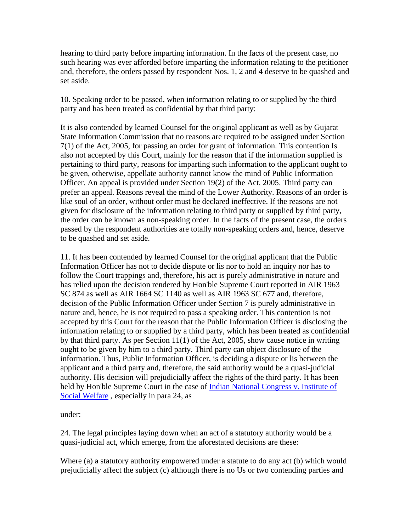hearing to third party before imparting information. In the facts of the present case, no such hearing was ever afforded before imparting the information relating to the petitioner and, therefore, the orders passed by respondent Nos. 1, 2 and 4 deserve to be quashed and set aside.

10. Speaking order to be passed, when information relating to or supplied by the third party and has been treated as confidential by that third party:

It is also contended by learned Counsel for the original applicant as well as by Gujarat State Information Commission that no reasons are required to be assigned under Section 7(1) of the Act, 2005, for passing an order for grant of information. This contention Is also not accepted by this Court, mainly for the reason that if the information supplied is pertaining to third party, reasons for imparting such information to the applicant ought to be given, otherwise, appellate authority cannot know the mind of Public Information Officer. An appeal is provided under Section 19(2) of the Act, 2005. Third party can prefer an appeal. Reasons reveal the mind of the Lower Authority. Reasons of an order is like soul of an order, without order must be declared ineffective. If the reasons are not given for disclosure of the information relating to third party or supplied by third party, the order can be known as non-speaking order. In the facts of the present case, the orders passed by the respondent authorities are totally non-speaking orders and, hence, deserve to be quashed and set aside.

11. It has been contended by learned Counsel for the original applicant that the Public Information Officer has not to decide dispute or lis nor to hold an inquiry nor has to follow the Court trappings and, therefore, his act is purely administrative in nature and has relied upon the decision rendered by Hon'ble Supreme Court reported in AIR 1963 SC 874 as well as AIR 1664 SC 1140 as well as AIR 1963 SC 677 and, therefore, decision of the Public Information Officer under Section 7 is purely administrative in nature and, hence, he is not required to pass a speaking order. This contention is not accepted by this Court for the reason that the Public Information Officer is disclosing the information relating to or supplied by a third party, which has been treated as confidential by that third party. As per Section 11(1) of the Act, 2005, show cause notice in writing ought to be given by him to a third party. Third party can object disclosure of the information. Thus, Public Information Officer, is deciding a dispute or lis between the applicant and a third party and, therefore, the said authority would be a quasi-judicial authority. His decision will prejudicially affect the rights of the third party. It has been held by Hon'ble Supreme Court in the case of Indian National Congress v. Institute of Social Welfare , especially in para 24, as

under:

24. The legal principles laying down when an act of a statutory authority would be a quasi-judicial act, which emerge, from the aforestated decisions are these:

Where (a) a statutory authority empowered under a statute to do any act (b) which would prejudicially affect the subject (c) although there is no Us or two contending parties and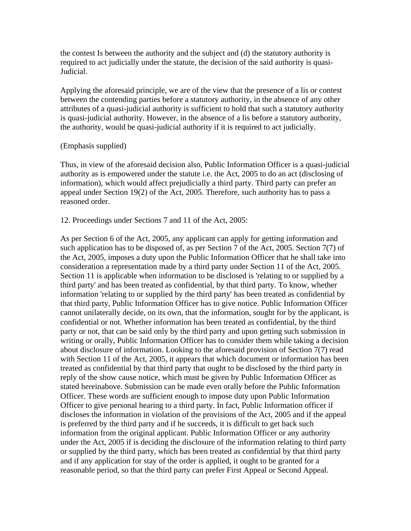the contest Is between the authority and the subject and (d) the statutory authority is required to act judicially under the statute, the decision of the said authority is quasi-Judicial.

Applying the aforesaid principle, we are of the view that the presence of a lis or contest between the contending parties before a statutory authority, in the absence of any other attributes of a quasi-judicial authority is sufficient to hold that such a statutory authority is quasi-judicial authority. However, in the absence of a lis before a statutory authority, the authority, would be quasi-judicial authority if it is required to act judicially.

## (Emphasis supplied)

Thus, in view of the aforesaid decision also, Public Information Officer is a quasi-judicial authority as is empowered under the statute i.e. the Act, 2005 to do an act (disclosing of information), which would affect prejudicially a third party. Third party can prefer an appeal under Section 19(2) of the Act, 2005. Therefore, such authority has to pass a reasoned order.

12. Proceedings under Sections 7 and 11 of the Act, 2005:

As per Section 6 of the Act, 2005, any applicant can apply for getting information and such application has to be disposed of, as per Section 7 of the Act, 2005. Section 7(7) of the Act, 2005, imposes a duty upon the Public Information Officer that he shall take into consideration a representation made by a third party under Section 11 of the Act, 2005. Section 11 is applicable when information to be disclosed is 'relating to or supplied by a third party' and has been treated as confidential, by that third party. To know, whether information 'relating to or supplied by the third party' has been treated as confidential by that third party, Public Information Officer has to give notice. Public Information Officer cannot unilaterally decide, on its own, that the information, sought for by the applicant, is confidential or not. Whether information has been treated as confidential, by the third party or not, that can be said only by the third party and upon getting such submission in writing or orally, Public Information Officer has to consider them while taking a decision about disclosure of information. Looking to the aforesaid provision of Section 7(7) read with Section 11 of the Act, 2005, it appears that which document or information has been treated as confidential by that third party that ought to be disclosed by the third party in reply of the show cause notice, which must be given by Public Information Officer as stated hereinabove. Submission can be made even orally before the Public Information Officer. These words are sufficient enough to impose duty upon Public Information Officer to give personal hearing to a third party. In fact, Public Information officer if discloses the information in violation of the provisions of the Act, 2005 and if the appeal is preferred by the third party and if he succeeds, it is difficult to get back such information from the original applicant. Public Information Officer or any authority under the Act, 2005 if is deciding the disclosure of the information relating to third party or supplied by the third party, which has been treated as confidential by that third party and if any application for stay of the order is applied, it ought to be granted for a reasonable period, so that the third party can prefer First Appeal or Second Appeal.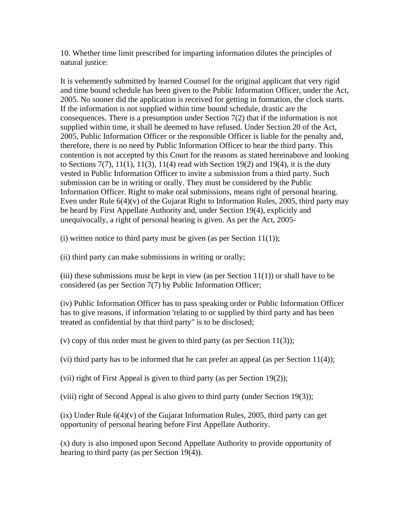10. Whether time limit prescribed for imparting information dilutes the principles of natural justice:

It is vehemently submitted by learned Counsel for the original applicant that very rigid and time bound schedule has been given to the Public Information Officer, under the Act, 2005. No sooner did the application is received for getting in formation, the clock starts. If the information is not supplied within time bound schedule, drastic are the consequences. There is a presumption under Section 7(2) that if the information is not supplied within time, it shall be deemed to have refused. Under Section 20 of the Act, 2005, Public Information Officer or the responsible Officer is liable for the penalty and, therefore, there is no need by Public Information Officer to hear the third party. This contention is not accepted by this Court for the reasons as stated hereinabove and looking to Sections  $7(7)$ ,  $11(1)$ ,  $11(3)$ ,  $11(4)$  read with Section 19(2) and 19(4), it is the duty vested in Public Information Officer to invite a submission from a third party. Such submission can be in writing or orally. They must be considered by the Public Information Officer. Right to make oral submissions, means right of personal hearing. Even under Rule  $6(4)(v)$  of the Gujarat Right to Information Rules, 2005, third party may be heard by First Appellate Authority and, under Section 19(4), explicitly and unequivocally, a right of personal hearing is given. As per the Act, 2005-

(i) written notice to third party must be given (as per Section  $11(1)$ );

(ii) third party can make submissions in writing or orally;

(iii) these submissions must be kept in view (as per Section  $11(1)$ ) or shall have to be considered (as per Section 7(7) by Public Information Officer;

(iv) Public Information Officer has to pass speaking order or Public Information Officer has to give reasons, if information 'relating to or supplied by third party and has been treated as confidential by that third party" is to be disclosed;

(v) copy of this order must be given to third party (as per Section 11(3));

(vi) third party has to be informed that he can prefer an appeal (as per Section  $11(4)$ );

(vii) right of First Appeal is given to third party (as per Section 19(2));

(viii) right of Second Appeal is also given to third party (under Section 19(3));

 $(ix)$  Under Rule  $6(4)(y)$  of the Gujarat Information Rules, 2005, third party can get opportunity of personal hearing before First Appellate Authority.

(x) duty is also imposed upon Second Appellate Authority to provide opportunity of hearing to third party (as per Section 19(4)).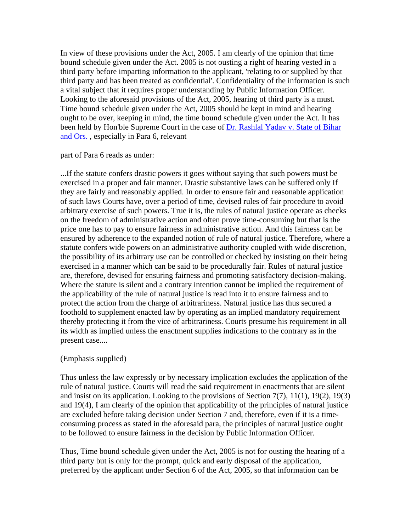In view of these provisions under the Act, 2005. I am clearly of the opinion that time bound schedule given under the Act. 2005 is not ousting a right of hearing vested in a third party before imparting information to the applicant, 'relating to or supplied by that third party and has been treated as confidential'. Confidentiality of the information is such a vital subject that it requires proper understanding by Public Information Officer. Looking to the aforesaid provisions of the Act, 2005, hearing of third party is a must. Time bound schedule given under the Act, 2005 should be kept in mind and hearing ought to be over, keeping in mind, the time bound schedule given under the Act. It has been held by Hon'ble Supreme Court in the case of Dr. Rashlal Yadav v. State of Bihar and Ors. , especially in Para 6, relevant

part of Para 6 reads as under:

...If the statute confers drastic powers it goes without saying that such powers must be exercised in a proper and fair manner. Drastic substantive laws can be suffered only If they are fairly and reasonably applied. In order to ensure fair and reasonable application of such laws Courts have, over a period of time, devised rules of fair procedure to avoid arbitrary exercise of such powers. True it is, the rules of natural justice operate as checks on the freedom of administrative action and often prove time-consuming but that is the price one has to pay to ensure fairness in administrative action. And this fairness can be ensured by adherence to the expanded notion of rule of natural justice. Therefore, where a statute confers wide powers on an administrative authority coupled with wide discretion, the possibility of its arbitrary use can be controlled or checked by insisting on their being exercised in a manner which can be said to be procedurally fair. Rules of natural justice are, therefore, devised for ensuring fairness and promoting satisfactory decision-making. Where the statute is silent and a contrary intention cannot be implied the requirement of the applicability of the rule of natural justice is read into it to ensure fairness and to protect the action from the charge of arbitrariness. Natural justice has thus secured a foothold to supplement enacted law by operating as an implied mandatory requirement thereby protecting it from the vice of arbitrariness. Courts presume his requirement in all its width as implied unless the enactment supplies indications to the contrary as in the present case....

## (Emphasis supplied)

Thus unless the law expressly or by necessary implication excludes the application of the rule of natural justice. Courts will read the said requirement in enactments that are silent and insist on its application. Looking to the provisions of Section  $7(7)$ ,  $11(1)$ ,  $19(2)$ ,  $19(3)$ and 19(4), I am clearly of the opinion that applicability of the principles of natural justice are excluded before taking decision under Section 7 and, therefore, even if it is a timeconsuming process as stated in the aforesaid para, the principles of natural justice ought to be followed to ensure fairness in the decision by Public Information Officer.

Thus, Time bound schedule given under the Act, 2005 is not for ousting the hearing of a third party but is only for the prompt, quick and early disposal of the application, preferred by the applicant under Section 6 of the Act, 2005, so that information can be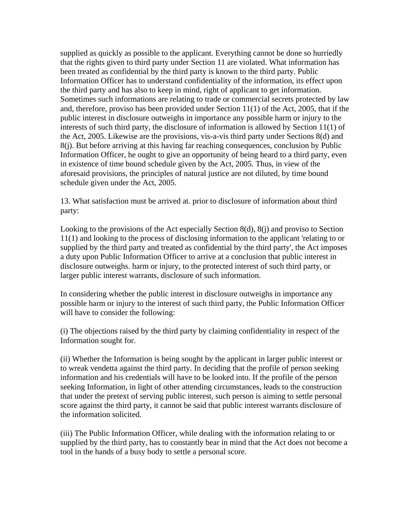supplied as quickly as possible to the applicant. Everything cannot be done so hurriedly that the rights given to third party under Section 11 are violated. What information has been treated as confidential by the third party is known to the third party. Public Information Officer has to understand confidentiality of the information, its effect upon the third party and has also to keep in mind, right of applicant to get information. Sometimes such informations are relating to trade or commercial secrets protected by law and, therefore, proviso has been provided under Section 11(1) of the Act, 2005, that if the public interest in disclosure outweighs in importance any possible harm or injury to the interests of such third party, the disclosure of information is allowed by Section 11(1) of the Act, 2005. Likewise are the provisions, vis-a-vis third party under Sections 8(d) and 8(j). But before arriving at this having far reaching consequences, conclusion by Public Information Officer, he ought to give an opportunity of being heard to a third party, even in existence of time bound schedule given by the Act, 2005. Thus, in view of the aforesaid provisions, the principles of natural justice are not diluted, by time bound schedule given under the Act, 2005.

13. What satisfaction must be arrived at. prior to disclosure of information about third party:

Looking to the provisions of the Act especially Section 8(d), 8(j) and proviso to Section 11(1) and looking to the process of disclosing information to the applicant 'relating to or supplied by the third party and treated as confidential by the third party', the Act imposes a duty upon Public Information Officer to arrive at a conclusion that public interest in disclosure outweighs. harm or injury, to the protected interest of such third party, or larger public interest warrants, disclosure of such information.

In considering whether the public interest in disclosure outweighs in importance any possible harm or injury to the interest of such third party, the Public Information Officer will have to consider the following:

(i) The objections raised by the third party by claiming confidentiality in respect of the Information sought for.

(ii) Whether the Information is being sought by the applicant in larger public interest or to wreak vendetta against the third party. In deciding that the profile of person seeking information and his credentials will have to be looked into. If the profile of the person seeking Information, in light of other attending circumstances, leads to the construction that under the pretext of serving public interest, such person is aiming to settle personal score against the third party, it cannot be said that public interest warrants disclosure of the information solicited.

(iii) The Public Information Officer, while dealing with the information relating to or supplied by the third party, has to constantly bear in mind that the Act does not become a tool in the hands of a busy body to settle a personal score.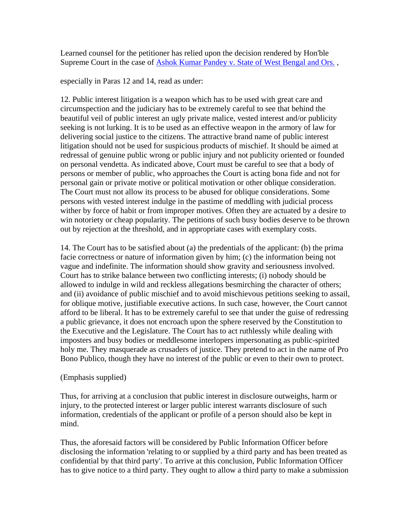Learned counsel for the petitioner has relied upon the decision rendered by Hon'ble Supreme Court in the case of Ashok Kumar Pandey v. State of West Bengal and Ors. ,

especially in Paras 12 and 14, read as under:

12. Public interest litigation is a weapon which has to be used with great care and circumspection and the judiciary has to be extremely careful to see that behind the beautiful veil of public interest an ugly private malice, vested interest and/or publicity seeking is not lurking. It is to be used as an effective weapon in the armory of law for delivering social justice to the citizens. The attractive brand name of public interest litigation should not be used for suspicious products of mischief. It should be aimed at redressal of genuine public wrong or public injury and not publicity oriented or founded on personal vendetta. As indicated above, Court must be careful to see that a body of persons or member of public, who approaches the Court is acting bona fide and not for personal gain or private motive or political motivation or other oblique consideration. The Court must not allow its process to be abused for oblique considerations. Some persons with vested interest indulge in the pastime of meddling with judicial process wither by force of habit or from improper motives. Often they are actuated by a desire to win notoriety or cheap popularity. The petitions of such busy bodies deserve to be thrown out by rejection at the threshold, and in appropriate cases with exemplary costs.

14. The Court has to be satisfied about (a) the predentials of the applicant: (b) the prima facie correctness or nature of information given by him; (c) the information being not vague and indefinite. The information should show gravity and seriousness involved. Court has to strike balance between two conflicting interests; (i) nobody should be allowed to indulge in wild and reckless allegations besmirching the character of others; and (ii) avoidance of public mischief and to avoid mischievous petitions seeking to assail, for oblique motive, justifiable executive actions. In such case, however, the Court cannot afford to be liberal. It has to be extremely careful to see that under the guise of redressing a public grievance, it does not encroach upon the sphere reserved by the Constitution to the Executive and the Legislature. The Court has to act ruthlessly while dealing with imposters and busy bodies or meddlesome interlopers impersonating as public-spirited holy me. They masquerade as crusaders of justice. They pretend to act in the name of Pro Bono Publico, though they have no interest of the public or even to their own to protect.

## (Emphasis supplied)

Thus, for arriving at a conclusion that public interest in disclosure outweighs, harm or injury, to the protected interest or larger public interest warrants disclosure of such information, credentials of the applicant or profile of a person should also be kept in mind.

Thus, the aforesaid factors will be considered by Public Information Officer before disclosing the information 'relating to or supplied by a third party and has been treated as confidential by that third party'. To arrive at this conclusion, Public Information Officer has to give notice to a third party. They ought to allow a third party to make a submission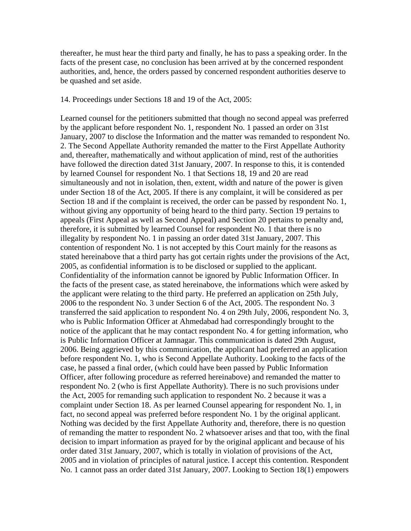thereafter, he must hear the third party and finally, he has to pass a speaking order. In the facts of the present case, no conclusion has been arrived at by the concerned respondent authorities, and, hence, the orders passed by concerned respondent authorities deserve to be quashed and set aside.

14. Proceedings under Sections 18 and 19 of the Act, 2005:

Learned counsel for the petitioners submitted that though no second appeal was preferred by the applicant before respondent No. 1, respondent No. 1 passed an order on 31st January, 2007 to disclose the Information and the matter was remanded to respondent No. 2. The Second Appellate Authority remanded the matter to the First Appellate Authority and, thereafter, mathematically and without application of mind, rest of the authorities have followed the direction dated 31st January, 2007. In response to this, it is contended by learned Counsel for respondent No. 1 that Sections 18, 19 and 20 are read simultaneously and not in isolation, then, extent, width and nature of the power is given under Section 18 of the Act, 2005. If there is any complaint, it will be considered as per Section 18 and if the complaint is received, the order can be passed by respondent No. 1, without giving any opportunity of being heard to the third party. Section 19 pertains to appeals (First Appeal as well as Second Appeal) and Section 20 pertains to penalty and, therefore, it is submitted by learned Counsel for respondent No. 1 that there is no illegality by respondent No. 1 in passing an order dated 31st January, 2007. This contention of respondent No. 1 is not accepted by this Court mainly for the reasons as stated hereinabove that a third party has got certain rights under the provisions of the Act, 2005, as confidential information is to be disclosed or supplied to the applicant. Confidentiality of the information cannot be ignored by Public Information Officer. In the facts of the present case, as stated hereinabove, the informations which were asked by the applicant were relating to the third party. He preferred an application on 25th July, 2006 to the respondent No. 3 under Section 6 of the Act, 2005. The respondent No. 3 transferred the said application to respondent No. 4 on 29th July, 2006, respondent No. 3, who is Public Information Officer at Ahmedabad had correspondingly brought to the notice of the applicant that he may contact respondent No. 4 for getting information, who is Public Information Officer at Jamnagar. This communication is dated 29th August, 2006. Being aggrieved by this communication, the applicant had preferred an application before respondent No. 1, who is Second Appellate Authority. Looking to the facts of the case, he passed a final order, (which could have been passed by Public Information Officer, after following procedure as referred hereinabove) and remanded the matter to respondent No. 2 (who is first Appellate Authority). There is no such provisions under the Act, 2005 for remanding such application to respondent No. 2 because it was a complaint under Section 18. As per learned Counsel appearing for respondent No. 1, in fact, no second appeal was preferred before respondent No. 1 by the original applicant. Nothing was decided by the first Appellate Authority and, therefore, there is no question of remanding the matter to respondent No. 2 whatsoever arises and that too, with the final decision to impart information as prayed for by the original applicant and because of his order dated 31st January, 2007, which is totally in violation of provisions of the Act, 2005 and in violation of principles of natural justice. I accept this contention. Respondent No. 1 cannot pass an order dated 31st January, 2007. Looking to Section 18(1) empowers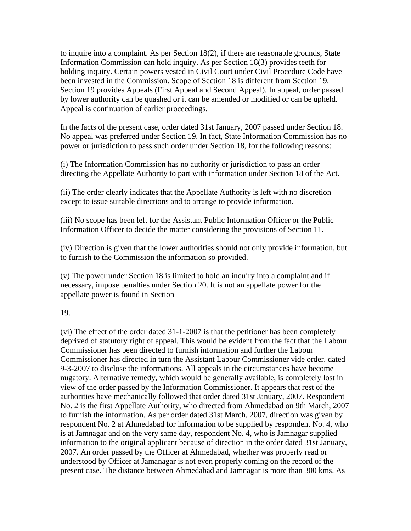to inquire into a complaint. As per Section 18(2), if there are reasonable grounds, State Information Commission can hold inquiry. As per Section 18(3) provides teeth for holding inquiry. Certain powers vested in Civil Court under Civil Procedure Code have been invested in the Commission. Scope of Section 18 is different from Section 19. Section 19 provides Appeals (First Appeal and Second Appeal). In appeal, order passed by lower authority can be quashed or it can be amended or modified or can be upheld. Appeal is continuation of earlier proceedings.

In the facts of the present case, order dated 31st January, 2007 passed under Section 18. No appeal was preferred under Section 19. In fact, State Information Commission has no power or jurisdiction to pass such order under Section 18, for the following reasons:

(i) The Information Commission has no authority or jurisdiction to pass an order directing the Appellate Authority to part with information under Section 18 of the Act.

(ii) The order clearly indicates that the Appellate Authority is left with no discretion except to issue suitable directions and to arrange to provide information.

(iii) No scope has been left for the Assistant Public Information Officer or the Public Information Officer to decide the matter considering the provisions of Section 11.

(iv) Direction is given that the lower authorities should not only provide information, but to furnish to the Commission the information so provided.

(v) The power under Section 18 is limited to hold an inquiry into a complaint and if necessary, impose penalties under Section 20. It is not an appellate power for the appellate power is found in Section

#### 19.

(vi) The effect of the order dated 31-1-2007 is that the petitioner has been completely deprived of statutory right of appeal. This would be evident from the fact that the Labour Commissioner has been directed to furnish information and further the Labour Commissioner has directed in turn the Assistant Labour Commissioner vide order. dated 9-3-2007 to disclose the informations. All appeals in the circumstances have become nugatory. Alternative remedy, which would be generally available, is completely lost in view of the order passed by the Information Commissioner. It appears that rest of the authorities have mechanically followed that order dated 31st January, 2007. Respondent No. 2 is the first Appellate Authority, who directed from Ahmedabad on 9th March, 2007 to furnish the information. As per order dated 31st March, 2007, direction was given by respondent No. 2 at Ahmedabad for information to be supplied by respondent No. 4, who is at Jamnagar and on the very same day, respondent No. 4, who is Jamnagar supplied information to the original applicant because of direction in the order dated 31st January, 2007. An order passed by the Officer at Ahmedabad, whether was properly read or understood by Officer at Jamanagar is not even properly coming on the record of the present case. The distance between Ahmedabad and Jamnagar is more than 300 kms. As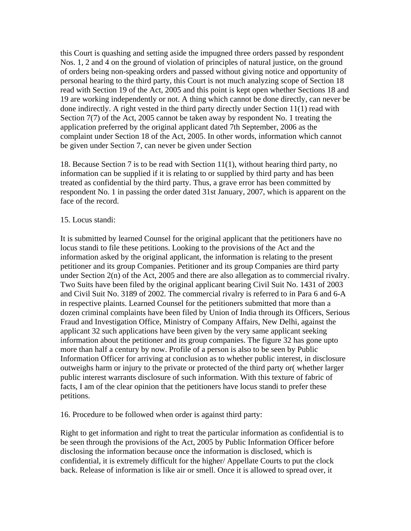this Court is quashing and setting aside the impugned three orders passed by respondent Nos. 1, 2 and 4 on the ground of violation of principles of natural justice, on the ground of orders being non-speaking orders and passed without giving notice and opportunity of personal hearing to the third party, this Court is not much analyzing scope of Section 18 read with Section 19 of the Act, 2005 and this point is kept open whether Sections 18 and 19 are working independently or not. A thing which cannot be done directly, can never be done indirectly. A right vested in the third party directly under Section 11(1) read with Section 7(7) of the Act, 2005 cannot be taken away by respondent No. 1 treating the application preferred by the original applicant dated 7th September, 2006 as the complaint under Section 18 of the Act, 2005. In other words, information which cannot be given under Section 7, can never be given under Section

18. Because Section 7 is to be read with Section 11(1), without hearing third party, no information can be supplied if it is relating to or supplied by third party and has been treated as confidential by the third party. Thus, a grave error has been committed by respondent No. 1 in passing the order dated 31st January, 2007, which is apparent on the face of the record.

#### 15. Locus standi:

It is submitted by learned Counsel for the original applicant that the petitioners have no locus standi to file these petitions. Looking to the provisions of the Act and the information asked by the original applicant, the information is relating to the present petitioner and its group Companies. Petitioner and its group Companies are third party under Section 2(n) of the Act, 2005 and there are also allegation as to commercial rivalry. Two Suits have been filed by the original applicant bearing Civil Suit No. 1431 of 2003 and Civil Suit No. 3189 of 2002. The commercial rivalry is referred to in Para 6 and 6-A in respective plaints. Learned Counsel for the petitioners submitted that more than a dozen criminal complaints have been filed by Union of India through its Officers, Serious Fraud and Investigation Office, Ministry of Company Affairs, New Delhi, against the applicant 32 such applications have been given by the very same applicant seeking information about the petitioner and its group companies. The figure 32 has gone upto more than half a century by now. Profile of a person is also to be seen by Public Information Officer for arriving at conclusion as to whether public interest, in disclosure outweighs harm or injury to the private or protected of the third party or( whether larger public interest warrants disclosure of such information. With this texture of fabric of facts, I am of the clear opinion that the petitioners have locus standi to prefer these petitions.

16. Procedure to be followed when order is against third party:

Right to get information and right to treat the particular information as confidential is to be seen through the provisions of the Act, 2005 by Public Information Officer before disclosing the information because once the information is disclosed, which is confidential, it is extremely difficult for the higher/ Appellate Courts to put the clock back. Release of information is like air or smell. Once it is allowed to spread over, it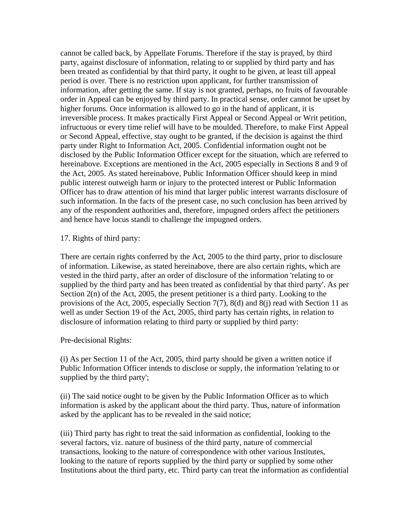cannot be called back, by Appellate Forums. Therefore if the stay is prayed, by third party, against disclosure of information, relating to or supplied by third party and has been treated as confidential by that third party, it ought to be given, at least till appeal period is over. There is no restriction upon applicant, for further transmission of information, after getting the same. If stay is not granted, perhaps, no fruits of favourable order in Appeal can be enjoyed by third party. In practical sense, order cannot be upset by higher forums. Once information is allowed to go in the hand of applicant, it is irreversible process. It makes practically First Appeal or Second Appeal or Writ petition, infructuous or every time relief will have to be moulded. Therefore, to make First Appeal or Second Appeal, effective, stay ought to be granted, if the decision is against the third party under Right to Information Act, 2005. Confidential information ought not be disclosed by the Public Information Officer except for the situation, which are referred to hereinabove. Exceptions are mentioned in the Act, 2005 especially in Sections 8 and 9 of the Act, 2005. As stated hereinabove, Public Information Officer should keep in mind public interest outweigh harm or injury to the protected interest or Public Information Officer has to draw attention of his mind that larger public interest warrants disclosure of such information. In the facts of the present case, no such conclusion has been arrived by any of the respondent authorities and, therefore, impugned orders affect the petitioners and hence have locus standi to challenge the impugned orders.

17. Rights of third party:

There are certain rights conferred by the Act, 2005 to the third party, prior to disclosure of information. Likewise, as stated hereinabove, there are also certain rights, which are vested in the third party, after an order of disclosure of the information 'relating to or supplied by the third party and has been treated as confidential by that third party'. As per Section 2(n) of the Act, 2005, the present petitioner is a third party. Looking to the provisions of the Act, 2005, especially Section 7(7), 8(d) and 8(j) read with Section 11 as well as under Section 19 of the Act, 2005, third party has certain rights, in relation to disclosure of information relating to third party or supplied by third party:

## Pre-decisional Rights:

(i) As per Section 11 of the Act, 2005, third party should be given a written notice if Public Information Officer intends to disclose or supply, the information 'relating to or supplied by the third party';

(ii) The said notice ought to be given by the Public Information Officer as to which information is asked by the applicant about the third party. Thus, nature of information asked by the applicant has to be revealed in the said notice;

(iii) Third party has right to treat the said information as confidential, looking to the several factors, viz. nature of business of the third party, nature of commercial transactions, looking to the nature of correspondence with other various Institutes, looking to the nature of reports supplied by the third party or supplied by some other Institutions about the third party, etc. Third party can treat the information as confidential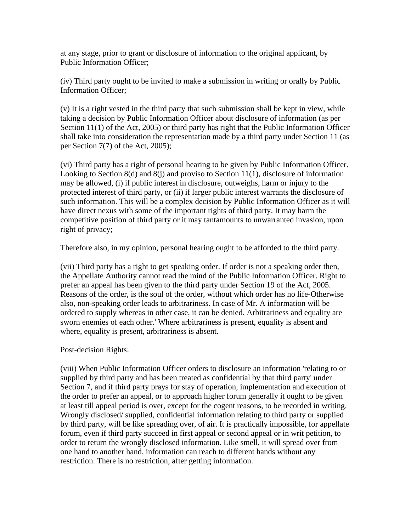at any stage, prior to grant or disclosure of information to the original applicant, by Public Information Officer;

(iv) Third party ought to be invited to make a submission in writing or orally by Public Information Officer;

(v) It is a right vested in the third party that such submission shall be kept in view, while taking a decision by Public Information Officer about disclosure of information (as per Section 11(1) of the Act, 2005) or third party has right that the Public Information Officer shall take into consideration the representation made by a third party under Section 11 (as per Section 7(7) of the Act, 2005);

(vi) Third party has a right of personal hearing to be given by Public Information Officer. Looking to Section  $8(d)$  and  $8(i)$  and proviso to Section 11(1), disclosure of information may be allowed, (i) if public interest in disclosure, outweighs, harm or injury to the protected interest of third party, or (ii) if larger public interest warrants the disclosure of such information. This will be a complex decision by Public Information Officer as it will have direct nexus with some of the important rights of third party. It may harm the competitive position of third party or it may tantamounts to unwarranted invasion, upon right of privacy;

Therefore also, in my opinion, personal hearing ought to be afforded to the third party.

(vii) Third party has a right to get speaking order. If order is not a speaking order then, the Appellate Authority cannot read the mind of the Public Information Officer. Right to prefer an appeal has been given to the third party under Section 19 of the Act, 2005. Reasons of the order, is the soul of the order, without which order has no life-Otherwise also, non-speaking order leads to arbitrariness. In case of Mr. A information will be ordered to supply whereas in other case, it can be denied. Arbitrariness and equality are sworn enemies of each other.' Where arbitrariness is present, equality is absent and where, equality is present, arbitrariness is absent.

Post-decision Rights:

(viii) When Public Information Officer orders to disclosure an information 'relating to or supplied by third party and has been treated as confidential by that third party' under Section 7, and if third party prays for stay of operation, implementation and execution of the order to prefer an appeal, or to approach higher forum generally it ought to be given at least till appeal period is over, except for the cogent reasons, to be recorded in writing. Wrongly disclosed/ supplied, confidential information relating to third party or supplied by third party, will be like spreading over, of air. It is practically impossible, for appellate forum, even if third party succeed in first appeal or second appeal or in writ petition, to order to return the wrongly disclosed information. Like smell, it will spread over from one hand to another hand, information can reach to different hands without any restriction. There is no restriction, after getting information.